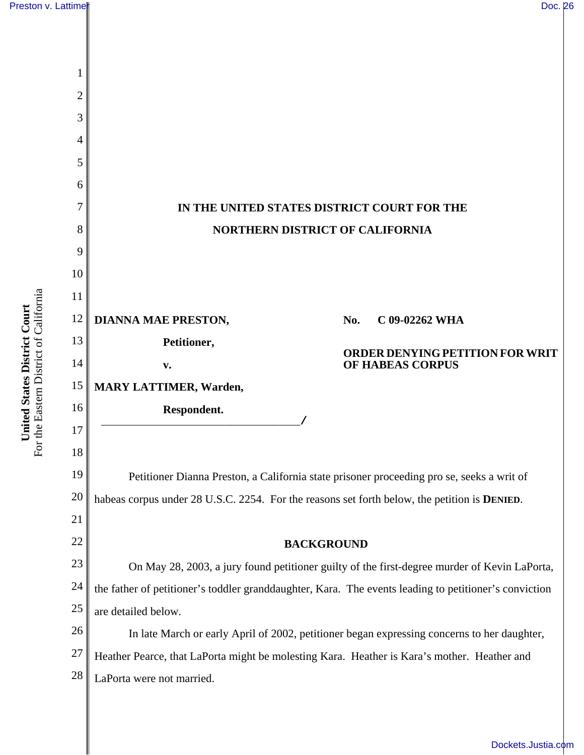

For the Eastern District of California For the Eastern District of California United States District Court **United States District Court**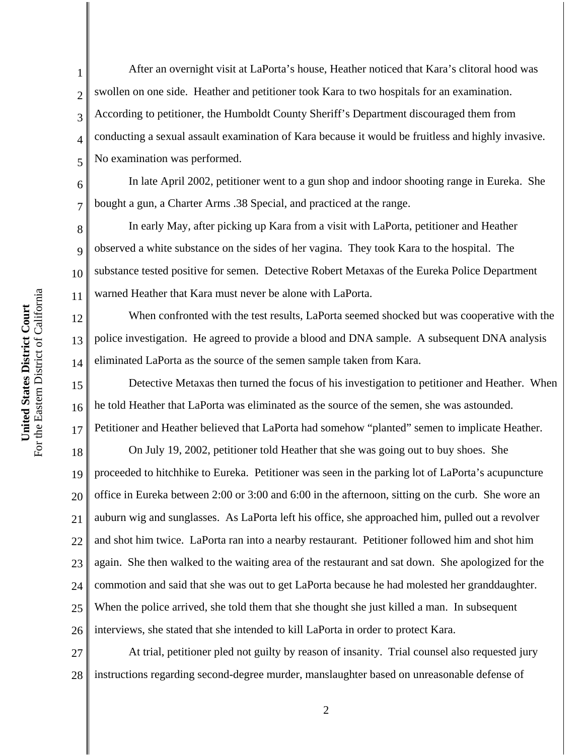1

2

3

4

5

6

7

8

9

10

11

12

13

14

After an overnight visit at LaPorta's house, Heather noticed that Kara's clitoral hood was swollen on one side. Heather and petitioner took Kara to two hospitals for an examination. According to petitioner, the Humboldt County Sheriff's Department discouraged them from conducting a sexual assault examination of Kara because it would be fruitless and highly invasive. No examination was performed.

In late April 2002, petitioner went to a gun shop and indoor shooting range in Eureka. She bought a gun, a Charter Arms .38 Special, and practiced at the range.

In early May, after picking up Kara from a visit with LaPorta, petitioner and Heather observed a white substance on the sides of her vagina. They took Kara to the hospital. The substance tested positive for semen. Detective Robert Metaxas of the Eureka Police Department warned Heather that Kara must never be alone with LaPorta.

When confronted with the test results, LaPorta seemed shocked but was cooperative with the police investigation. He agreed to provide a blood and DNA sample. A subsequent DNA analysis eliminated LaPorta as the source of the semen sample taken from Kara.

15 16 17 Detective Metaxas then turned the focus of his investigation to petitioner and Heather. When he told Heather that LaPorta was eliminated as the source of the semen, she was astounded. Petitioner and Heather believed that LaPorta had somehow "planted" semen to implicate Heather.

18 19 20 21 22 23 24 25 26 On July 19, 2002, petitioner told Heather that she was going out to buy shoes. She proceeded to hitchhike to Eureka. Petitioner was seen in the parking lot of LaPorta's acupuncture office in Eureka between 2:00 or 3:00 and 6:00 in the afternoon, sitting on the curb. She wore an auburn wig and sunglasses. As LaPorta left his office, she approached him, pulled out a revolver and shot him twice. LaPorta ran into a nearby restaurant. Petitioner followed him and shot him again. She then walked to the waiting area of the restaurant and sat down. She apologized for the commotion and said that she was out to get LaPorta because he had molested her granddaughter. When the police arrived, she told them that she thought she just killed a man. In subsequent interviews, she stated that she intended to kill LaPorta in order to protect Kara.

27 28 At trial, petitioner pled not guilty by reason of insanity. Trial counsel also requested jury instructions regarding second-degree murder, manslaughter based on unreasonable defense of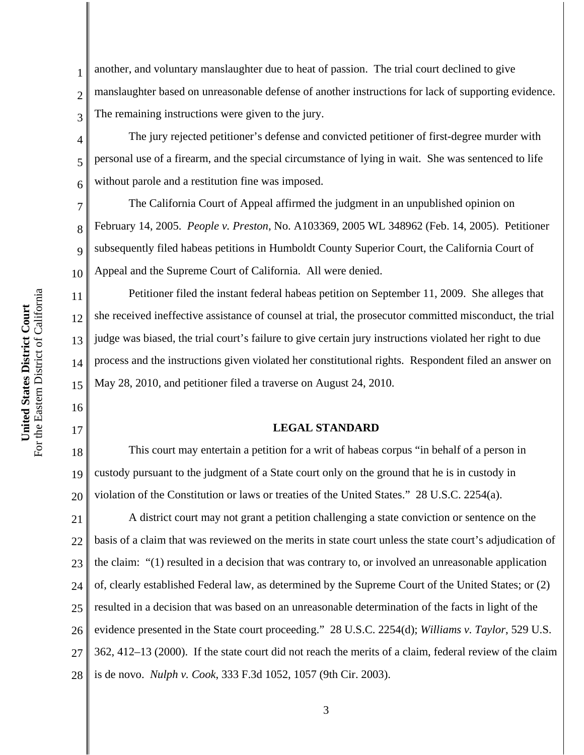2 3 another, and voluntary manslaughter due to heat of passion. The trial court declined to give manslaughter based on unreasonable defense of another instructions for lack of supporting evidence. The remaining instructions were given to the jury.

The jury rejected petitioner's defense and convicted petitioner of first-degree murder with personal use of a firearm, and the special circumstance of lying in wait. She was sentenced to life without parole and a restitution fine was imposed.

7 8 9 10 The California Court of Appeal affirmed the judgment in an unpublished opinion on February 14, 2005. *People v. Preston*, No. A103369, 2005 WL 348962 (Feb. 14, 2005). Petitioner subsequently filed habeas petitions in Humboldt County Superior Court, the California Court of Appeal and the Supreme Court of California. All were denied.

Petitioner filed the instant federal habeas petition on September 11, 2009. She alleges that she received ineffective assistance of counsel at trial, the prosecutor committed misconduct, the trial judge was biased, the trial court's failure to give certain jury instructions violated her right to due process and the instructions given violated her constitutional rights. Respondent filed an answer on May 28, 2010, and petitioner filed a traverse on August 24, 2010.

#### **LEGAL STANDARD**

18 19 20 This court may entertain a petition for a writ of habeas corpus "in behalf of a person in custody pursuant to the judgment of a State court only on the ground that he is in custody in violation of the Constitution or laws or treaties of the United States." 28 U.S.C. 2254(a).

21 22 23 24 25 26 27 28 A district court may not grant a petition challenging a state conviction or sentence on the basis of a claim that was reviewed on the merits in state court unless the state court's adjudication of the claim: "(1) resulted in a decision that was contrary to, or involved an unreasonable application of, clearly established Federal law, as determined by the Supreme Court of the United States; or (2) resulted in a decision that was based on an unreasonable determination of the facts in light of the evidence presented in the State court proceeding." 28 U.S.C. 2254(d); *Williams v. Taylor*, 529 U.S. 362, 412–13 (2000). If the state court did not reach the merits of a claim, federal review of the claim is de novo. *Nulph v. Cook*, 333 F.3d 1052, 1057 (9th Cir. 2003).

1

4

5

6

11

12

13

14

15

16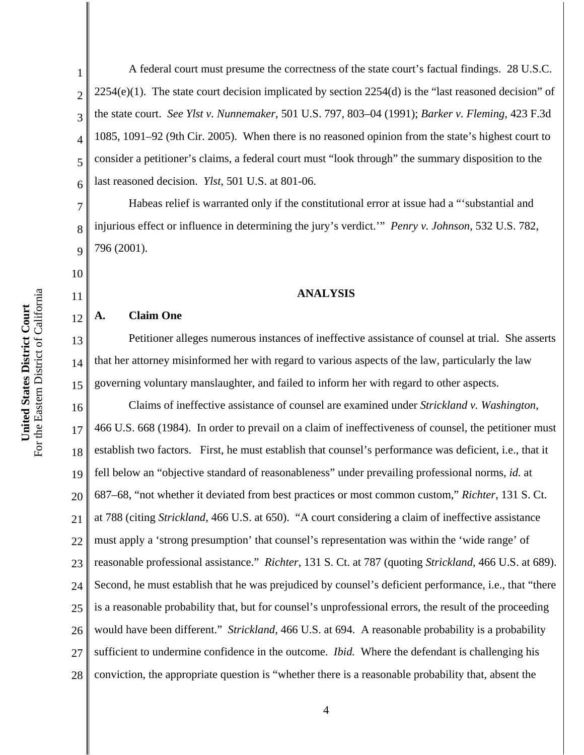A federal court must presume the correctness of the state court's factual findings. 28 U.S.C.  $2254(e)(1)$ . The state court decision implicated by section  $2254(d)$  is the "last reasoned decision" of the state court. *See Ylst v. Nunnemaker*, 501 U.S. 797, 803–04 (1991); *Barker v. Fleming*, 423 F.3d 1085, 1091–92 (9th Cir. 2005). When there is no reasoned opinion from the state's highest court to consider a petitioner's claims, a federal court must "look through" the summary disposition to the last reasoned decision. *Ylst*, 501 U.S. at 801-06.

Habeas relief is warranted only if the constitutional error at issue had a "'substantial and injurious effect or influence in determining the jury's verdict.'" *Penry v. Johnson*, 532 U.S. 782, 796 (2001).

#### **ANALYSIS**

### **A. Claim One**

1

2

3

4

5

6

7

8

9

10

11

12

13 14 15 Petitioner alleges numerous instances of ineffective assistance of counsel at trial. She asserts that her attorney misinformed her with regard to various aspects of the law, particularly the law governing voluntary manslaughter, and failed to inform her with regard to other aspects.

16 17 18 19 20 21 22 23 24 25 26 27 28 Claims of ineffective assistance of counsel are examined under *Strickland v. Washington*, 466 U.S. 668 (1984). In order to prevail on a claim of ineffectiveness of counsel, the petitioner must establish two factors. First, he must establish that counsel's performance was deficient, i.e., that it fell below an "objective standard of reasonableness" under prevailing professional norms, *id.* at 687–68, "not whether it deviated from best practices or most common custom," *Richter*, 131 S. Ct. at 788 (citing *Strickland*, 466 U.S. at 650). "A court considering a claim of ineffective assistance must apply a 'strong presumption' that counsel's representation was within the 'wide range' of reasonable professional assistance." *Richter*, 131 S. Ct. at 787 (quoting *Strickland*, 466 U.S. at 689). Second, he must establish that he was prejudiced by counsel's deficient performance, i.e., that "there is a reasonable probability that, but for counsel's unprofessional errors, the result of the proceeding would have been different." *Strickland*, 466 U.S. at 694. A reasonable probability is a probability sufficient to undermine confidence in the outcome. *Ibid.* Where the defendant is challenging his conviction, the appropriate question is "whether there is a reasonable probability that, absent the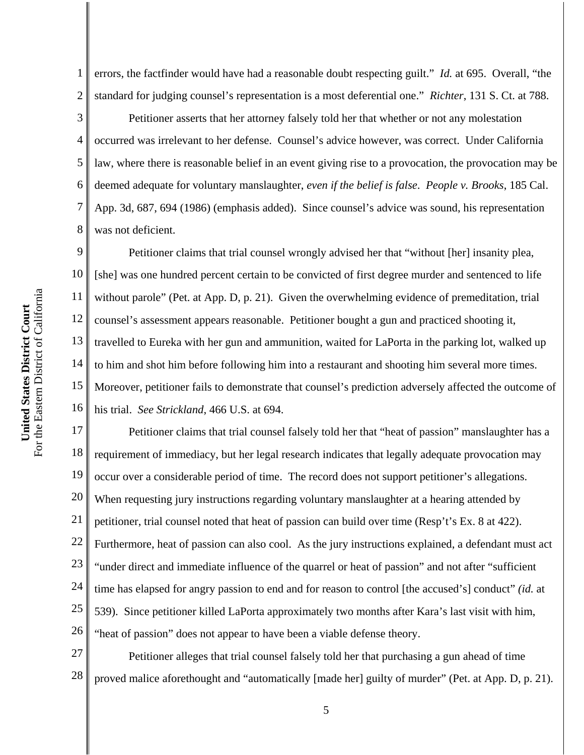1 2 errors, the factfinder would have had a reasonable doubt respecting guilt." *Id.* at 695. Overall, "the standard for judging counsel's representation is a most deferential one." *Richter*, 131 S. Ct. at 788.

Petitioner asserts that her attorney falsely told her that whether or not any molestation occurred was irrelevant to her defense. Counsel's advice however, was correct. Under California law, where there is reasonable belief in an event giving rise to a provocation, the provocation may be deemed adequate for voluntary manslaughter, *even if the belief is false*. *People v. Brooks*, 185 Cal. App. 3d, 687, 694 (1986) (emphasis added). Since counsel's advice was sound, his representation was not deficient.

9 10 11 12 13 14 15 16 Petitioner claims that trial counsel wrongly advised her that "without [her] insanity plea, [she] was one hundred percent certain to be convicted of first degree murder and sentenced to life without parole" (Pet. at App. D, p. 21). Given the overwhelming evidence of premeditation, trial counsel's assessment appears reasonable. Petitioner bought a gun and practiced shooting it, travelled to Eureka with her gun and ammunition, waited for LaPorta in the parking lot, walked up to him and shot him before following him into a restaurant and shooting him several more times. Moreover, petitioner fails to demonstrate that counsel's prediction adversely affected the outcome of his trial. *See Strickland*, 466 U.S. at 694.

17 18 19 20 21 22 23 24 25 26 Petitioner claims that trial counsel falsely told her that "heat of passion" manslaughter has a requirement of immediacy, but her legal research indicates that legally adequate provocation may occur over a considerable period of time. The record does not support petitioner's allegations. When requesting jury instructions regarding voluntary manslaughter at a hearing attended by petitioner, trial counsel noted that heat of passion can build over time (Resp't's Ex. 8 at 422). Furthermore, heat of passion can also cool. As the jury instructions explained, a defendant must act "under direct and immediate influence of the quarrel or heat of passion" and not after "sufficient time has elapsed for angry passion to end and for reason to control [the accused's] conduct" *(id.* at 539). Since petitioner killed LaPorta approximately two months after Kara's last visit with him, "heat of passion" does not appear to have been a viable defense theory.

27 28 Petitioner alleges that trial counsel falsely told her that purchasing a gun ahead of time proved malice aforethought and "automatically [made her] guilty of murder" (Pet. at App. D, p. 21).

3

4

5

6

7

8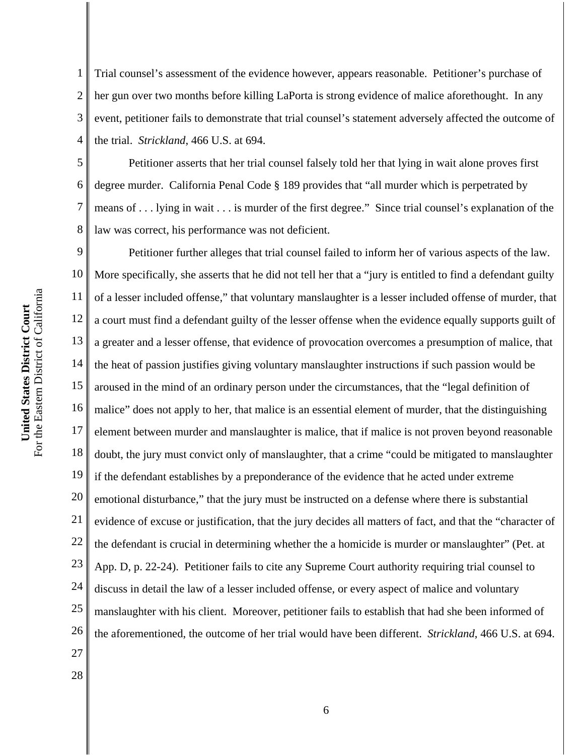1 2 3 4 Trial counsel's assessment of the evidence however, appears reasonable. Petitioner's purchase of her gun over two months before killing LaPorta is strong evidence of malice aforethought. In any event, petitioner fails to demonstrate that trial counsel's statement adversely affected the outcome of the trial. *Strickland*, 466 U.S. at 694.

5 6 7 8 Petitioner asserts that her trial counsel falsely told her that lying in wait alone proves first degree murder. California Penal Code § 189 provides that "all murder which is perpetrated by means of . . . lying in wait . . . is murder of the first degree." Since trial counsel's explanation of the law was correct, his performance was not deficient.

9 10 11 12 13 14 15 16 17 18 19 20 21 22 23 24 25 26 27 Petitioner further alleges that trial counsel failed to inform her of various aspects of the law. More specifically, she asserts that he did not tell her that a "jury is entitled to find a defendant guilty of a lesser included offense," that voluntary manslaughter is a lesser included offense of murder, that a court must find a defendant guilty of the lesser offense when the evidence equally supports guilt of a greater and a lesser offense, that evidence of provocation overcomes a presumption of malice, that the heat of passion justifies giving voluntary manslaughter instructions if such passion would be aroused in the mind of an ordinary person under the circumstances, that the "legal definition of malice" does not apply to her, that malice is an essential element of murder, that the distinguishing element between murder and manslaughter is malice, that if malice is not proven beyond reasonable doubt, the jury must convict only of manslaughter, that a crime "could be mitigated to manslaughter if the defendant establishes by a preponderance of the evidence that he acted under extreme emotional disturbance," that the jury must be instructed on a defense where there is substantial evidence of excuse or justification, that the jury decides all matters of fact, and that the "character of the defendant is crucial in determining whether the a homicide is murder or manslaughter" (Pet. at App. D, p. 22-24). Petitioner fails to cite any Supreme Court authority requiring trial counsel to discuss in detail the law of a lesser included offense, or every aspect of malice and voluntary manslaughter with his client. Moreover, petitioner fails to establish that had she been informed of the aforementioned, the outcome of her trial would have been different. *Strickland*, 466 U.S. at 694.

For the Eastern District of California For the Eastern District of California United States District Court **United States District Court**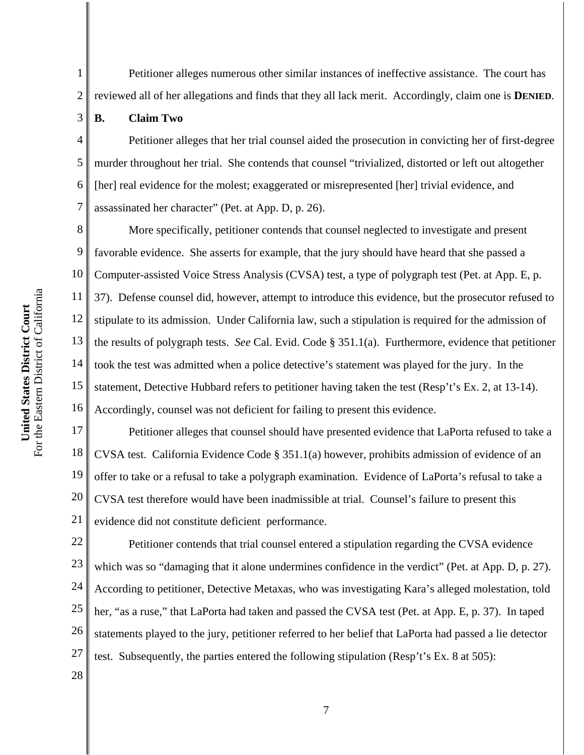Petitioner alleges numerous other similar instances of ineffective assistance. The court has

- reviewed all of her allegations and finds that they all lack merit. Accordingly, claim one is **DENIED**.
	- **B. Claim Two**

1

2

3

4 5 6 7 Petitioner alleges that her trial counsel aided the prosecution in convicting her of first-degree murder throughout her trial. She contends that counsel "trivialized, distorted or left out altogether [her] real evidence for the molest; exaggerated or misrepresented [her] trivial evidence, and assassinated her character" (Pet. at App. D, p. 26).

8 9 10 11 12 13 14 15 16 More specifically, petitioner contends that counsel neglected to investigate and present favorable evidence. She asserts for example, that the jury should have heard that she passed a Computer-assisted Voice Stress Analysis (CVSA) test, a type of polygraph test (Pet. at App. E, p. 37). Defense counsel did, however, attempt to introduce this evidence, but the prosecutor refused to stipulate to its admission. Under California law, such a stipulation is required for the admission of the results of polygraph tests. *See* Cal. Evid. Code § 351.1(a). Furthermore, evidence that petitioner took the test was admitted when a police detective's statement was played for the jury. In the statement, Detective Hubbard refers to petitioner having taken the test (Resp't's Ex. 2, at 13-14). Accordingly, counsel was not deficient for failing to present this evidence.

17 18 19 20 21 Petitioner alleges that counsel should have presented evidence that LaPorta refused to take a CVSA test. California Evidence Code § 351.1(a) however, prohibits admission of evidence of an offer to take or a refusal to take a polygraph examination. Evidence of LaPorta's refusal to take a CVSA test therefore would have been inadmissible at trial. Counsel's failure to present this evidence did not constitute deficient performance.

22 23 24 25 26 27 Petitioner contends that trial counsel entered a stipulation regarding the CVSA evidence which was so "damaging that it alone undermines confidence in the verdict" (Pet. at App. D, p. 27). According to petitioner, Detective Metaxas, who was investigating Kara's alleged molestation, told her, "as a ruse," that LaPorta had taken and passed the CVSA test (Pet. at App. E, p. 37). In taped statements played to the jury, petitioner referred to her belief that LaPorta had passed a lie detector test. Subsequently, the parties entered the following stipulation (Resp't's Ex. 8 at 505):

For the Eastern District of California For the Eastern District of California United States District Court **United States District Court**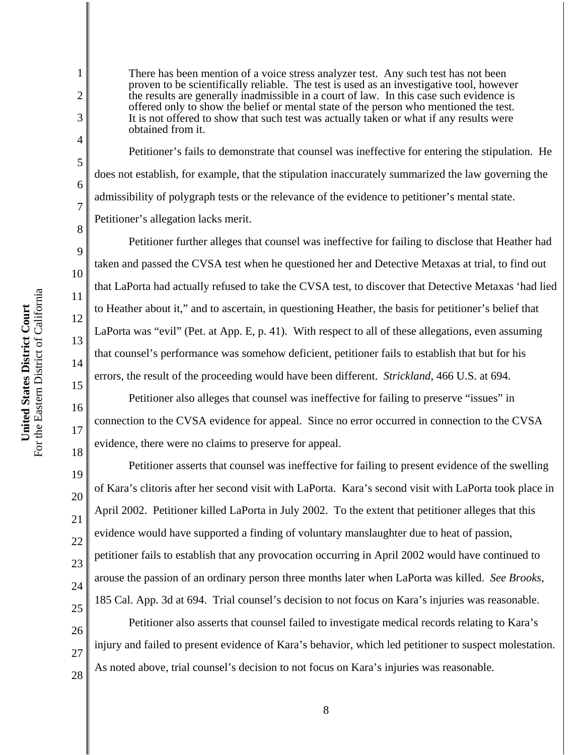1

2

3

4

5

6

7

8

9

10

11

12

13

14

15

16

17

18

19

20

21

22

23

24

25

26

27

28

There has been mention of a voice stress analyzer test. Any such test has not been proven to be scientifically reliable. The test is used as an investigative tool, however the results are generally inadmissible in a court of law. In this case such evidence is offered only to show the belief or mental state of the person who mentioned the test. It is not offered to show that such test was actually taken or what if any results were obtained from it.

Petitioner's fails to demonstrate that counsel was ineffective for entering the stipulation. He does not establish, for example, that the stipulation inaccurately summarized the law governing the admissibility of polygraph tests or the relevance of the evidence to petitioner's mental state. Petitioner's allegation lacks merit.

Petitioner further alleges that counsel was ineffective for failing to disclose that Heather had taken and passed the CVSA test when he questioned her and Detective Metaxas at trial, to find out that LaPorta had actually refused to take the CVSA test, to discover that Detective Metaxas 'had lied to Heather about it," and to ascertain, in questioning Heather, the basis for petitioner's belief that LaPorta was "evil" (Pet. at App. E, p. 41). With respect to all of these allegations, even assuming that counsel's performance was somehow deficient, petitioner fails to establish that but for his errors, the result of the proceeding would have been different. *Strickland*, 466 U.S. at 694.

Petitioner also alleges that counsel was ineffective for failing to preserve "issues" in connection to the CVSA evidence for appeal. Since no error occurred in connection to the CVSA evidence, there were no claims to preserve for appeal.

Petitioner asserts that counsel was ineffective for failing to present evidence of the swelling of Kara's clitoris after her second visit with LaPorta. Kara's second visit with LaPorta took place in April 2002. Petitioner killed LaPorta in July 2002. To the extent that petitioner alleges that this evidence would have supported a finding of voluntary manslaughter due to heat of passion, petitioner fails to establish that any provocation occurring in April 2002 would have continued to arouse the passion of an ordinary person three months later when LaPorta was killed. *See Brooks*, 185 Cal. App. 3d at 694. Trial counsel's decision to not focus on Kara's injuries was reasonable.

Petitioner also asserts that counsel failed to investigate medical records relating to Kara's injury and failed to present evidence of Kara's behavior, which led petitioner to suspect molestation. As noted above, trial counsel's decision to not focus on Kara's injuries was reasonable.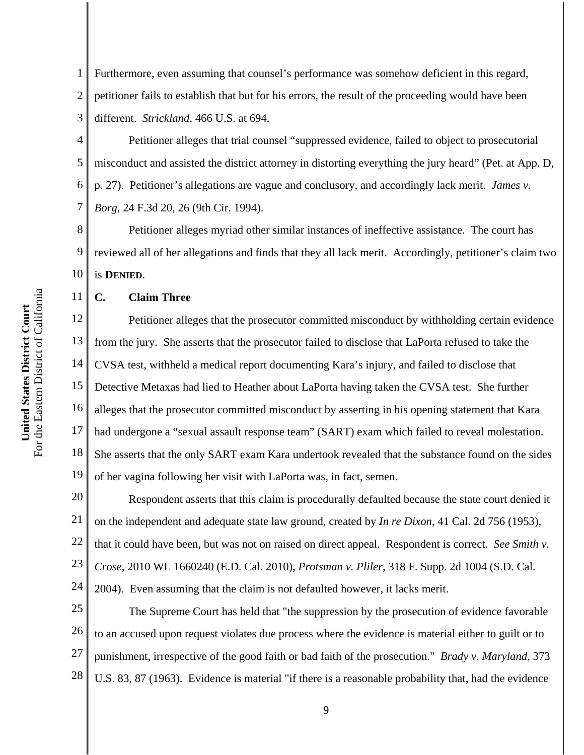1 2 3 Furthermore, even assuming that counsel's performance was somehow deficient in this regard, petitioner fails to establish that but for his errors, the result of the proceeding would have been different. *Strickland*, 466 U.S. at 694.

4 5 6 7 Petitioner alleges that trial counsel "suppressed evidence, failed to object to prosecutorial misconduct and assisted the district attorney in distorting everything the jury heard" (Pet. at App. D, p. 27). Petitioner's allegations are vague and conclusory, and accordingly lack merit. *James v. Borg*, 24 F.3d 20, 26 (9th Cir. 1994).

8 9 10 Petitioner alleges myriad other similar instances of ineffective assistance. The court has reviewed all of her allegations and finds that they all lack merit. Accordingly, petitioner's claim two is **DENIED**.

# **C. Claim Three**

12 13 14 15 16 17 18 19 Petitioner alleges that the prosecutor committed misconduct by withholding certain evidence from the jury. She asserts that the prosecutor failed to disclose that LaPorta refused to take the CVSA test, withheld a medical report documenting Kara's injury, and failed to disclose that Detective Metaxas had lied to Heather about LaPorta having taken the CVSA test. She further alleges that the prosecutor committed misconduct by asserting in his opening statement that Kara had undergone a "sexual assault response team" (SART) exam which failed to reveal molestation. She asserts that the only SART exam Kara undertook revealed that the substance found on the sides of her vagina following her visit with LaPorta was, in fact, semen.

20 21 22 23 24 Respondent asserts that this claim is procedurally defaulted because the state court denied it on the independent and adequate state law ground, created by *In re Dixon*, 41 Cal. 2d 756 (1953), that it could have been, but was not on raised on direct appeal. Respondent is correct. *See Smith v. Crose*, 2010 WL 1660240 (E.D. Cal. 2010), *Protsman v. Pliler*, 318 F. Supp. 2d 1004 (S.D. Cal. 2004). Even assuming that the claim is not defaulted however, it lacks merit.

25 26 27 28 The Supreme Court has held that "the suppression by the prosecution of evidence favorable to an accused upon request violates due process where the evidence is material either to guilt or to punishment, irrespective of the good faith or bad faith of the prosecution." *Brady v. Maryland*, 373 U.S. 83, 87 (1963). Evidence is material "if there is a reasonable probability that, had the evidence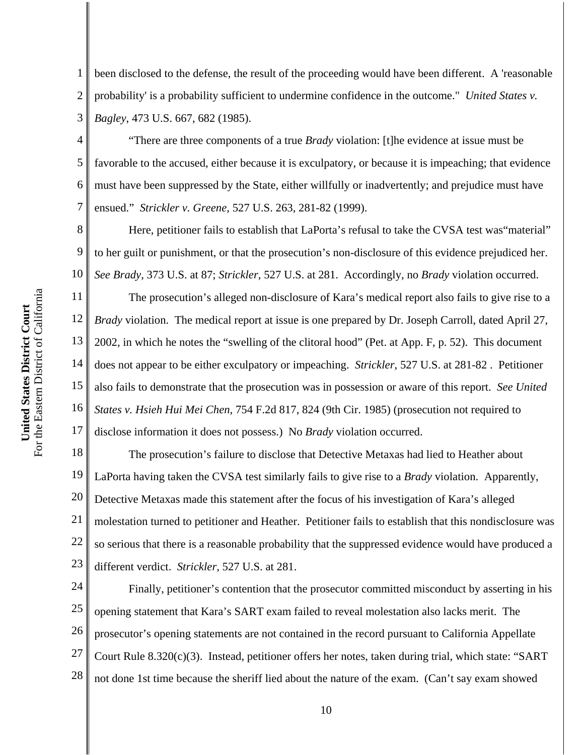1 2 3 been disclosed to the defense, the result of the proceeding would have been different. A 'reasonable probability' is a probability sufficient to undermine confidence in the outcome." *United States v. Bagley*, 473 U.S. 667, 682 (1985).

4 5 6 7 "There are three components of a true *Brady* violation: [t]he evidence at issue must be favorable to the accused, either because it is exculpatory, or because it is impeaching; that evidence must have been suppressed by the State, either willfully or inadvertently; and prejudice must have ensued." *Strickler v. Greene*, 527 U.S. 263, 281-82 (1999).

8 9 10 Here, petitioner fails to establish that LaPorta's refusal to take the CVSA test was "material" to her guilt or punishment, or that the prosecution's non-disclosure of this evidence prejudiced her. *See Brady*, 373 U.S. at 87; *Strickler*, 527 U.S. at 281. Accordingly, no *Brady* violation occurred.

11 12 13 14 15 16 17 The prosecution's alleged non-disclosure of Kara's medical report also fails to give rise to a *Brady* violation. The medical report at issue is one prepared by Dr. Joseph Carroll, dated April 27, 2002, in which he notes the "swelling of the clitoral hood" (Pet. at App. F, p. 52). This document does not appear to be either exculpatory or impeaching. *Strickler*, 527 U.S. at 281-82 . Petitioner also fails to demonstrate that the prosecution was in possession or aware of this report. *See United States v. Hsieh Hui Mei Chen*, 754 F.2d 817, 824 (9th Cir. 1985) (prosecution not required to disclose information it does not possess.) No *Brady* violation occurred.

18 19 20 21 22 23 The prosecution's failure to disclose that Detective Metaxas had lied to Heather about LaPorta having taken the CVSA test similarly fails to give rise to a *Brady* violation. Apparently, Detective Metaxas made this statement after the focus of his investigation of Kara's alleged molestation turned to petitioner and Heather. Petitioner fails to establish that this nondisclosure was so serious that there is a reasonable probability that the suppressed evidence would have produced a different verdict. *Strickler*, 527 U.S. at 281.

24 25 26 27 28 Finally, petitioner's contention that the prosecutor committed misconduct by asserting in his opening statement that Kara's SART exam failed to reveal molestation also lacks merit. The prosecutor's opening statements are not contained in the record pursuant to California Appellate Court Rule  $8.320(c)(3)$ . Instead, petitioner offers her notes, taken during trial, which state: "SART not done 1st time because the sheriff lied about the nature of the exam. (Can't say exam showed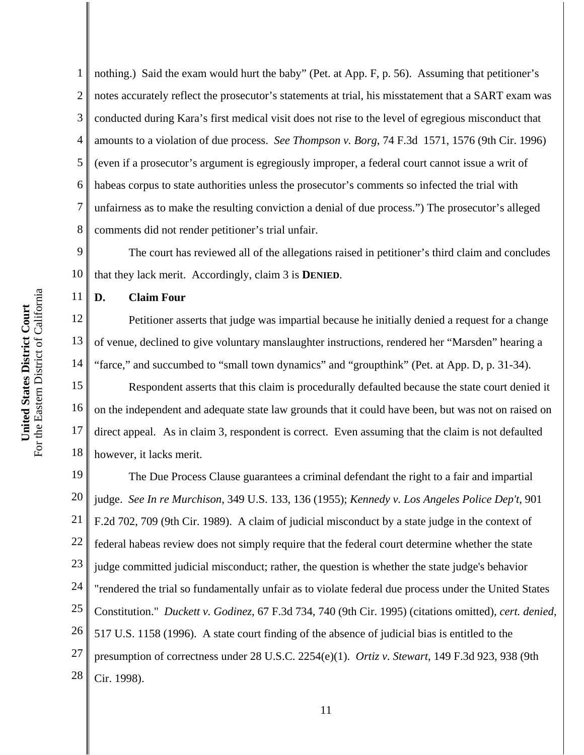1 2 3 4 5 6 7 8 nothing.) Said the exam would hurt the baby" (Pet. at App. F, p. 56). Assuming that petitioner's notes accurately reflect the prosecutor's statements at trial, his misstatement that a SART exam was conducted during Kara's first medical visit does not rise to the level of egregious misconduct that amounts to a violation of due process. *See Thompson v. Borg*, 74 F.3d 1571, 1576 (9th Cir. 1996) (even if a prosecutor's argument is egregiously improper, a federal court cannot issue a writ of habeas corpus to state authorities unless the prosecutor's comments so infected the trial with unfairness as to make the resulting conviction a denial of due process.") The prosecutor's alleged comments did not render petitioner's trial unfair.

9 10 The court has reviewed all of the allegations raised in petitioner's third claim and concludes that they lack merit. Accordingly, claim 3 is **DENIED**.

**D. Claim Four**

11

12 13 14 Petitioner asserts that judge was impartial because he initially denied a request for a change of venue, declined to give voluntary manslaughter instructions, rendered her "Marsden" hearing a "farce," and succumbed to "small town dynamics" and "groupthink" (Pet. at App. D, p. 31-34).

15 16 17 18 Respondent asserts that this claim is procedurally defaulted because the state court denied it on the independent and adequate state law grounds that it could have been, but was not on raised on direct appeal. As in claim 3, respondent is correct. Even assuming that the claim is not defaulted however, it lacks merit.

19 20 21 22 23 24 25 26 27 28 The Due Process Clause guarantees a criminal defendant the right to a fair and impartial judge. *See In re Murchison*, 349 U.S. 133, 136 (1955); *Kennedy v. Los Angeles Police Dep't*, 901 F.2d 702, 709 (9th Cir. 1989). A claim of judicial misconduct by a state judge in the context of federal habeas review does not simply require that the federal court determine whether the state judge committed judicial misconduct; rather, the question is whether the state judge's behavior "rendered the trial so fundamentally unfair as to violate federal due process under the United States Constitution." *Duckett v. Godinez*, 67 F.3d 734, 740 (9th Cir. 1995) (citations omitted), *cert. denied*, 517 U.S. 1158 (1996). A state court finding of the absence of judicial bias is entitled to the presumption of correctness under 28 U.S.C. 2254(e)(1). *Ortiz v. Stewart*, 149 F.3d 923, 938 (9th Cir. 1998).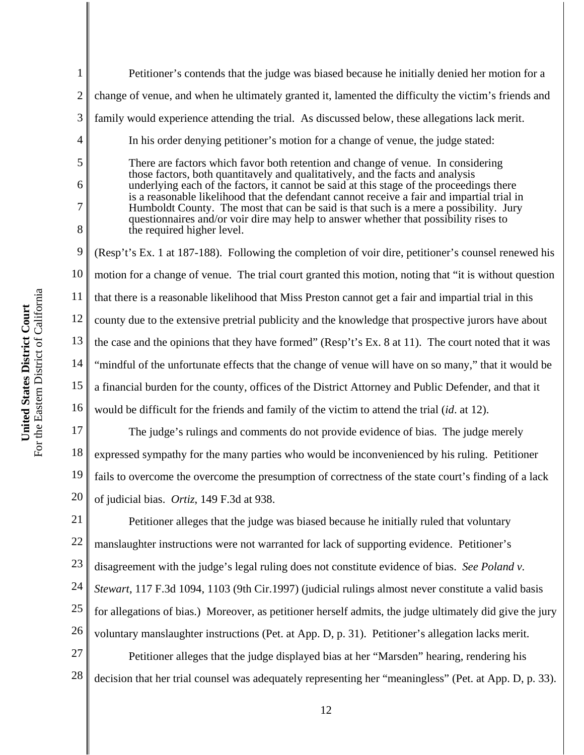1 2 3 4 5 6 7 8 9 10 11 12 13 14 15 16 17 18 19 20 21 22 23 24 Petitioner's contends that the judge was biased because he initially denied her motion for a change of venue, and when he ultimately granted it, lamented the difficulty the victim's friends and family would experience attending the trial. As discussed below, these allegations lack merit. In his order denying petitioner's motion for a change of venue, the judge stated: There are factors which favor both retention and change of venue. In considering those factors, both quantitavely and qualitatively, and the facts and analysis underlying each of the factors, it cannot be said at this stage of the proceedings there is a reasonable likelihood that the defendant cannot receive a fair and impartial trial in Humboldt County. The most that can be said is that such is a mere a possibility. Jury questionnaires and/or voir dire may help to answer whether that possibility rises to the required higher level. (Resp't's Ex. 1 at 187-188). Following the completion of voir dire, petitioner's counsel renewed his motion for a change of venue. The trial court granted this motion, noting that "it is without question that there is a reasonable likelihood that Miss Preston cannot get a fair and impartial trial in this county due to the extensive pretrial publicity and the knowledge that prospective jurors have about the case and the opinions that they have formed" (Resp't's Ex. 8 at 11). The court noted that it was "mindful of the unfortunate effects that the change of venue will have on so many," that it would be a financial burden for the county, offices of the District Attorney and Public Defender, and that it would be difficult for the friends and family of the victim to attend the trial (*id*. at 12). The judge's rulings and comments do not provide evidence of bias. The judge merely expressed sympathy for the many parties who would be inconvenienced by his ruling. Petitioner fails to overcome the overcome the presumption of correctness of the state court's finding of a lack of judicial bias. *Ortiz*, 149 F.3d at 938. Petitioner alleges that the judge was biased because he initially ruled that voluntary manslaughter instructions were not warranted for lack of supporting evidence. Petitioner's disagreement with the judge's legal ruling does not constitute evidence of bias. *See Poland v. Stewart*, 117 F.3d 1094, 1103 (9th Cir.1997) (judicial rulings almost never constitute a valid basis

25 26 for allegations of bias.) Moreover, as petitioner herself admits, the judge ultimately did give the jury voluntary manslaughter instructions (Pet. at App. D, p. 31). Petitioner's allegation lacks merit.

27 28 Petitioner alleges that the judge displayed bias at her "Marsden" hearing, rendering his decision that her trial counsel was adequately representing her "meaningless" (Pet. at App. D, p. 33).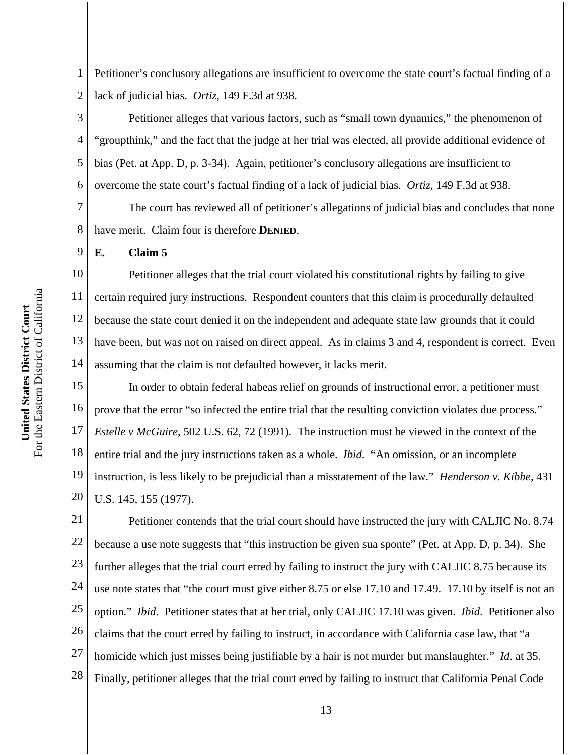1 2 Petitioner's conclusory allegations are insufficient to overcome the state court's factual finding of a lack of judicial bias. *Ortiz*, 149 F.3d at 938.

3 4 5 6 Petitioner alleges that various factors, such as "small town dynamics," the phenomenon of "groupthink," and the fact that the judge at her trial was elected, all provide additional evidence of bias (Pet. at App. D, p. 3-34). Again, petitioner's conclusory allegations are insufficient to overcome the state court's factual finding of a lack of judicial bias. *Ortiz*, 149 F.3d at 938.

7 8 The court has reviewed all of petitioner's allegations of judicial bias and concludes that none have merit. Claim four is therefore **DENIED**.

**E. Claim 5**

9

10 11 12 13 14 Petitioner alleges that the trial court violated his constitutional rights by failing to give certain required jury instructions. Respondent counters that this claim is procedurally defaulted because the state court denied it on the independent and adequate state law grounds that it could have been, but was not on raised on direct appeal. As in claims 3 and 4, respondent is correct. Even assuming that the claim is not defaulted however, it lacks merit.

15 16 17 18 19 20 In order to obtain federal habeas relief on grounds of instructional error, a petitioner must prove that the error "so infected the entire trial that the resulting conviction violates due process." *Estelle v McGuire*, 502 U.S. 62, 72 (1991). The instruction must be viewed in the context of the entire trial and the jury instructions taken as a whole. *Ibid*. "An omission, or an incomplete instruction, is less likely to be prejudicial than a misstatement of the law." *Henderson v. Kibbe*, 431 U.S. 145, 155 (1977).

21 22 23 24 25 26 27 28 Petitioner contends that the trial court should have instructed the jury with CALJIC No. 8.74 because a use note suggests that "this instruction be given sua sponte" (Pet. at App. D, p. 34). She further alleges that the trial court erred by failing to instruct the jury with CALJIC 8.75 because its use note states that "the court must give either 8.75 or else 17.10 and 17.49. 17.10 by itself is not an option." *Ibid*. Petitioner states that at her trial, only CALJIC 17.10 was given. *Ibid*. Petitioner also claims that the court erred by failing to instruct, in accordance with California case law, that "a homicide which just misses being justifiable by a hair is not murder but manslaughter." *Id*. at 35. Finally, petitioner alleges that the trial court erred by failing to instruct that California Penal Code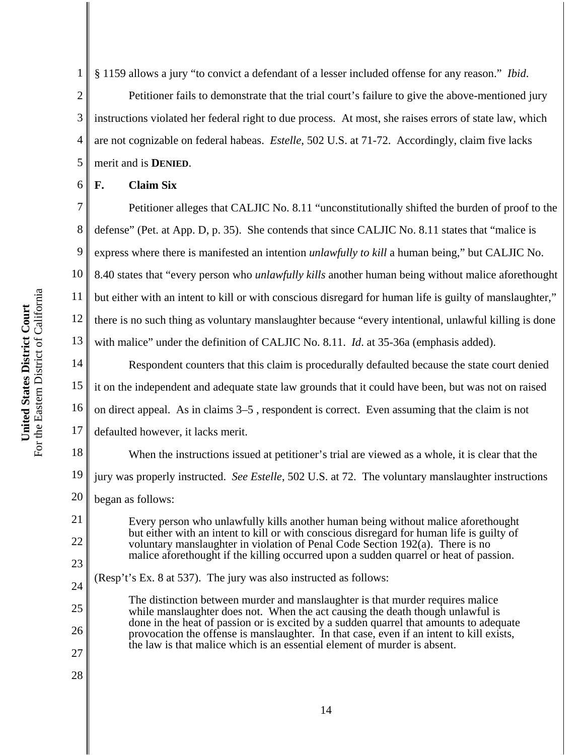2 3 4 5 Petitioner fails to demonstrate that the trial court's failure to give the above-mentioned jury instructions violated her federal right to due process. At most, she raises errors of state law, which are not cognizable on federal habeas. *Estelle*, 502 U.S. at 71-72. Accordingly, claim five lacks merit and is **DENIED**.

# **F. Claim Six**

6

7 8 9 10 11 12 13 14 15 Petitioner alleges that CALJIC No. 8.11 "unconstitutionally shifted the burden of proof to the defense" (Pet. at App. D, p. 35). She contends that since CALJIC No. 8.11 states that "malice is express where there is manifested an intention *unlawfully to kill* a human being," but CALJIC No. 8.40 states that "every person who *unlawfully kills* another human being without malice aforethought but either with an intent to kill or with conscious disregard for human life is guilty of manslaughter," there is no such thing as voluntary manslaughter because "every intentional, unlawful killing is done with malice" under the definition of CALJIC No. 8.11. *Id*. at 35-36a (emphasis added). Respondent counters that this claim is procedurally defaulted because the state court denied it on the independent and adequate state law grounds that it could have been, but was not on raised

16 on direct appeal. As in claims 3–5 , respondent is correct. Even assuming that the claim is not

17 defaulted however, it lacks merit.

18 19 When the instructions issued at petitioner's trial are viewed as a whole, it is clear that the jury was properly instructed. *See Estelle*, 502 U.S. at 72. The voluntary manslaughter instructions

20 began as follows:

21

22

23

24

25

26

27

28

Every person who unlawfully kills another human being without malice aforethought but either with an intent to kill or with conscious disregard for human life is guilty of voluntary manslaughter in violation of Penal Code Section 192(a). There is no malice aforethought if the killing occurred upon a sudden quarrel or heat of passion.

(Resp't's Ex. 8 at 537). The jury was also instructed as follows:

The distinction between murder and manslaughter is that murder requires malice while manslaughter does not. When the act causing the death though unlawful is done in the heat of passion or is excited by a sudden quarrel that amounts to adequate provocation the offense is manslaughter. In that case, even if an intent to kill exists, the law is that malice which is an essential element of murder is absent.

For the Eastern District of California For the Eastern District of California United States District Court **United States District Court**